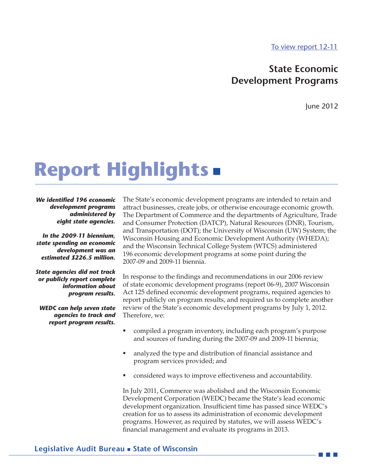[To view report 12-11](12-11full.pdf)

### **State Economic Development Programs**

June 2012

# **Report Highlights**

*We identified 196 economic development programs administered by eight state agencies.* 

*In the 2009-11 biennium, state spending on economic development was an estimated \$226.5 million.* 

*State agencies did not track or publicly report complete information about program results.* 

*WEDC can help seven state agencies to track and report program results.*

The State's economic development programs are intended to retain and attract businesses, create jobs, or otherwise encourage economic growth. The Department of Commerce and the departments of Agriculture, Trade and Consumer Protection (DATCP), Natural Resources (DNR), Tourism, and Transportation (DOT); the University of Wisconsin (UW) System; the Wisconsin Housing and Economic Development Authority (WHEDA); and the Wisconsin Technical College System (WTCS) administered 196 economic development programs at some point during the 2007-09 and 2009-11 biennia.

In response to the findings and recommendations in our 2006 review of state economic development programs (report 06-9), 2007 Wisconsin Act 125 defined economic development programs, required agencies to report publicly on program results, and required us to complete another review of the State's economic development programs by July 1, 2012. Therefore, we:

- compiled a program inventory, including each program's purpose and sources of funding during the 2007-09 and 2009-11 biennia;
- analyzed the type and distribution of financial assistance and program services provided; and
- considered ways to improve effectiveness and accountability.

In July 2011, Commerce was abolished and the Wisconsin Economic Development Corporation (WEDC) became the State's lead economic development organization. Insufficient time has passed since WEDC's creation for us to assess its administration of economic development programs. However, as required by statutes, we will assess WEDC's financial management and evaluate its programs in 2013.

#### **Legislative Audit Bureau State of Wisconsin**

 $\mathbb{R}^n$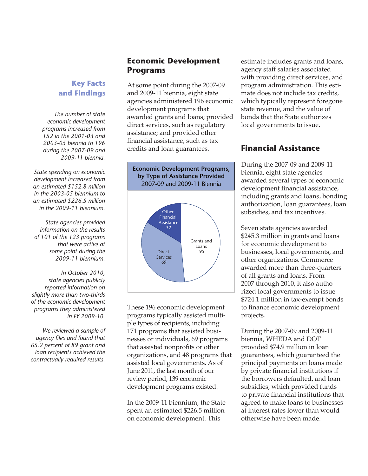## **Key Facts and Findings**

*The number of state economic development programs increased from 152 in the 2001-03 and 2003-05 biennia to 196 during the 2007-09 and 2009-11 biennia.*

*State spending on economic development increased from an estimated \$152.8 million in the 2003-05 biennium to an estimated \$226.5 million in the 2009-11 biennium.*

*State agencies provided information on the results of 101 of the 123 programs that were active at some point during the 2009-11 biennium.*

*In October 2010, state agencies publicly reported information on slightly more than two-thirds of the economic development programs they administered in FY 2009-10.*

*We reviewed a sample of agency files and found that 65.2 percent of 89 grant and loan recipients achieved the contractually required results.*

# **Economic Development Programs**

At some point during the 2007-09 and 2009-11 biennia, eight state agencies administered 196 economic development programs that awarded grants and loans; provided direct services, such as regulatory assistance; and provided other financial assistance, such as tax credits and loan guarantees.



These 196 economic development programs typically assisted multiple types of recipients, including 171 programs that assisted businesses or individuals, 69 programs that assisted nonprofits or other organizations, and 48 programs that assisted local governments. As of June 2011, the last month of our review period, 139 economic development programs existed.

In the 2009-11 biennium, the State spent an estimated \$226.5 million on economic development. This

estimate includes grants and loans, agency staff salaries associated with providing direct services, and program administration. This estimate does not include tax credits, which typically represent foregone state revenue, and the value of bonds that the State authorizes local governments to issue.

#### **Financial Assistance Financial Assistance**

During the 2007-09 and 2009-11 biennia, eight state agencies awarded several types of economic development financial assistance, including grants and loans, bonding authorization, loan guarantees, loan subsidies, and tax incentives.

Seven state agencies awarded \$245.3 million in grants and loans for economic development to businesses, local governments, and other organizations. Commerce awarded more than three-quarters of all grants and loans. From 2007 through 2010, it also authorized local governments to issue \$724.1 million in tax-exempt bonds to finance economic development projects.

During the 2007-09 and 2009-11 biennia, WHEDA and DOT provided \$74.9 million in loan guarantees, which guaranteed the principal payments on loans made by private financial institutions if the borrowers defaulted, and loan subsidies, which provided funds to private financial institutions that agreed to make loans to businesses at interest rates lower than would otherwise have been made.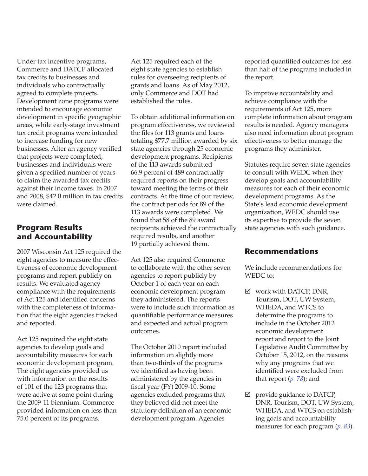Under tax incentive programs, Commerce and DATCP allocated tax credits to businesses and individuals who contractually agreed to complete projects. Development zone programs were intended to encourage economic development in specific geographic areas, while early-stage investment tax credit programs were intended to increase funding for new businesses. After an agency verified that projects were completed, businesses and individuals were given a specified number of years to claim the awarded tax credits against their income taxes. In 2007 and 2008, \$42.0 million in tax credits were claimed.

# **Program Because and Accountability**

2007 Wisconsin Act 125 required the eight agencies to measure the effectiveness of economic development programs and report publicly on results. We evaluated agency compliance with the requirements of Act 125 and identified concerns with the completeness of information that the eight agencies tracked and reported.

Act 125 required the eight state agencies to develop goals and accountability measures for each economic development program. The eight agencies provided us with information on the results of 101 of the 123 programs that were active at some point during the 2009-11 biennium. Commerce provided information on less than 75.0 percent of its programs.

Act 125 required each of the eight state agencies to establish rules for overseeing recipients of grants and loans. As of May 2012, only Commerce and DOT had established the rules.

To obtain additional information on program effectiveness, we reviewed the files for 113 grants and loans totaling \$77.7 million awarded by six state agencies through 25 economic development programs. Recipients of the 113 awards submitted 66.9 percent of 489 contractually required reports on their progress toward meeting the terms of their contracts. At the time of our review, the contract periods for 89 of the 113 awards were completed. We found that 58 of the 89 award recipients achieved the contractually required results, and another 19 partially achieved them.

Act 125 also required Commerce to collaborate with the other seven agencies to report publicly by October 1 of each year on each economic development program they administered. The reports were to include such information as quantifiable performance measures and expected and actual program outcomes.

The October 2010 report included information on slightly more than two-thirds of the programs we identified as having been administered by the agencies in fiscal year (FY) 2009-10. Some agencies excluded programs that they believed did not meet the statutory definition of an economic development program. Agencies

reported quantified outcomes for less than half of the programs included in the report.

To improve accountability and achieve compliance with the requirements of Act 125, more complete information about program results is needed. Agency managers also need information about program effectiveness to better manage the programs they administer.

Statutes require seven state agencies to consult with WEDC when they develop goals and accountability measures for each of their economic development programs. As the State's lead economic development organization, WEDC should use its expertise to provide the seven state agencies with such guidance.

#### **Recommendations Recommendations**

We include recommendations for WEDC to:

- $\boxtimes$  work with DATCP, DNR, Tourism, DOT, UW System, WHEDA, and WTCS to determine the programs to include in the October 2012 economic development report and report to the Joint Legislative Audit Committee by October 15, 2012, on the reasons why any programs that we identified were excluded from that report (*[p. 78](12-11full.pdf#1)*); and
- $\boxtimes$  provide guidance to DATCP, DNR, Tourism, DOT, UW System, WHEDA, and WTCS on establishing goals and accountability measures for each program (*[p. 83](12-11full.pdf#2)*).